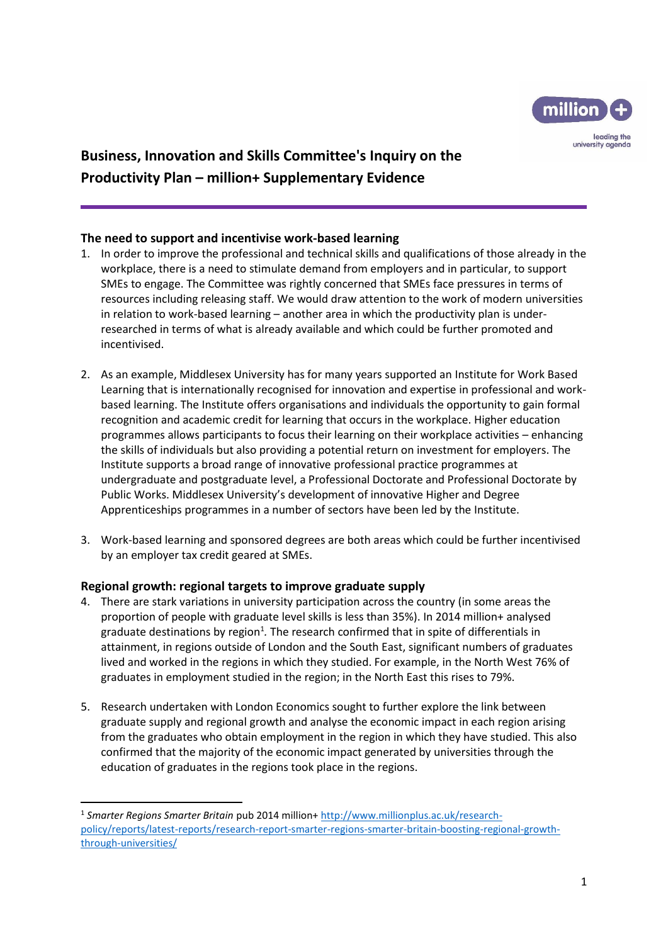

# **Business, Innovation and Skills Committee's Inquiry on the Productivity Plan – million+ Supplementary Evidence**

## **The need to support and incentivise work-based learning**

- 1. In order to improve the professional and technical skills and qualifications of those already in the workplace, there is a need to stimulate demand from employers and in particular, to support SMEs to engage. The Committee was rightly concerned that SMEs face pressures in terms of resources including releasing staff. We would draw attention to the work of modern universities in relation to work-based learning – another area in which the productivity plan is underresearched in terms of what is already available and which could be further promoted and incentivised.
- 2. As an example, Middlesex University has for many years supported an Institute for Work Based Learning that is internationally recognised for innovation and expertise in professional and workbased learning. The Institute offers organisations and individuals the opportunity to gain formal recognition and academic credit for learning that occurs in the workplace. Higher education programmes allows participants to focus their learning on their workplace activities – enhancing the skills of individuals but also providing a potential return on investment for employers. The Institute supports a broad range of innovative professional practice programmes at undergraduate and postgraduate level, a Professional Doctorate and Professional Doctorate by Public Works. Middlesex University's development of innovative Higher and Degree Apprenticeships programmes in a number of sectors have been led by the Institute.
- 3. Work-based learning and sponsored degrees are both areas which could be further incentivised by an employer tax credit geared at SMEs.

## **Regional growth: regional targets to improve graduate supply**

**.** 

- 4. There are stark variations in university participation across the country (in some areas the proportion of people with graduate level skills is less than 35%). In 2014 million+ analysed graduate destinations by region<sup>1</sup>. The research confirmed that in spite of differentials in attainment, in regions outside of London and the South East, significant numbers of graduates lived and worked in the regions in which they studied. For example, in the North West 76% of graduates in employment studied in the region; in the North East this rises to 79%.
- 5. Research undertaken with London Economics sought to further explore the link between graduate supply and regional growth and analyse the economic impact in each region arising from the graduates who obtain employment in the region in which they have studied. This also confirmed that the majority of the economic impact generated by universities through the education of graduates in the regions took place in the regions.

<sup>1</sup> *Smarter Regions Smarter Britain* pub 2014 million+ [http://www.millionplus.ac.uk/research](http://www.millionplus.ac.uk/research-policy/reports/latest-reports/research-report-smarter-regions-smarter-britain-boosting-regional-growth-through-universities/)[policy/reports/latest-reports/research-report-smarter-regions-smarter-britain-boosting-regional-growth](http://www.millionplus.ac.uk/research-policy/reports/latest-reports/research-report-smarter-regions-smarter-britain-boosting-regional-growth-through-universities/)[through-universities/](http://www.millionplus.ac.uk/research-policy/reports/latest-reports/research-report-smarter-regions-smarter-britain-boosting-regional-growth-through-universities/)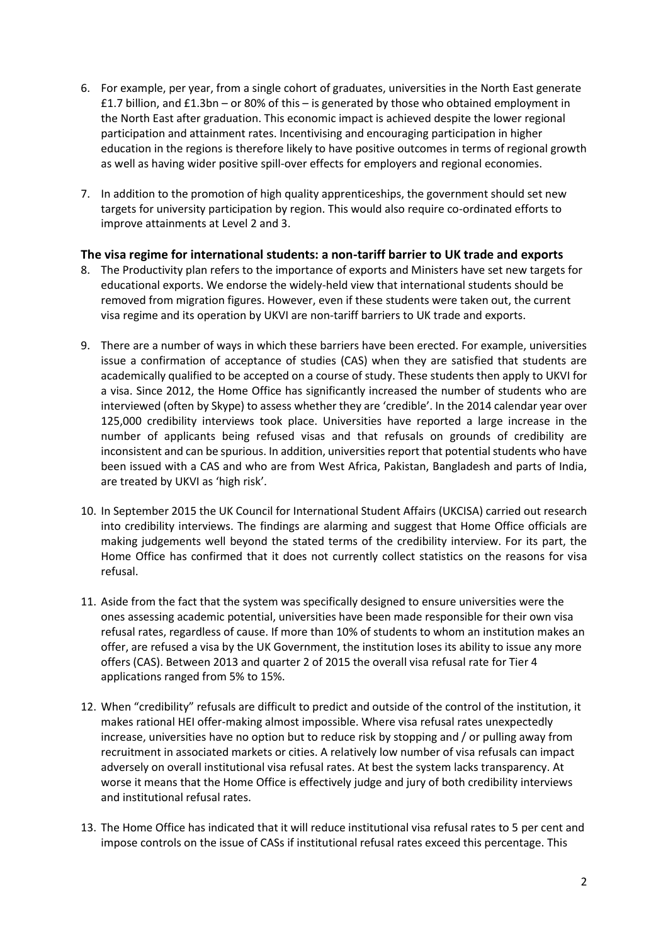- 6. For example, per year, from a single cohort of graduates, universities in the North East generate £1.7 billion, and £1.3bn – or 80% of this – is generated by those who obtained employment in the North East after graduation. This economic impact is achieved despite the lower regional participation and attainment rates. Incentivising and encouraging participation in higher education in the regions is therefore likely to have positive outcomes in terms of regional growth as well as having wider positive spill-over effects for employers and regional economies.
- 7. In addition to the promotion of high quality apprenticeships, the government should set new targets for university participation by region. This would also require co-ordinated efforts to improve attainments at Level 2 and 3.

#### **The visa regime for international students: a non-tariff barrier to UK trade and exports**

- 8. The Productivity plan refers to the importance of exports and Ministers have set new targets for educational exports. We endorse the widely-held view that international students should be removed from migration figures. However, even if these students were taken out, the current visa regime and its operation by UKVI are non-tariff barriers to UK trade and exports.
- 9. There are a number of ways in which these barriers have been erected. For example, universities issue a confirmation of acceptance of studies (CAS) when they are satisfied that students are academically qualified to be accepted on a course of study. These students then apply to UKVI for a visa. Since 2012, the Home Office has significantly increased the number of students who are interviewed (often by Skype) to assess whether they are 'credible'. In the 2014 calendar year over 125,000 credibility interviews took place. Universities have reported a large increase in the number of applicants being refused visas and that refusals on grounds of credibility are inconsistent and can be spurious. In addition, universities report that potential students who have been issued with a CAS and who are from West Africa, Pakistan, Bangladesh and parts of India, are treated by UKVI as 'high risk'.
- 10. In September 2015 the UK Council for International Student Affairs (UKCISA) carried out research into credibility interviews. The findings are alarming and suggest that Home Office officials are making judgements well beyond the stated terms of the credibility interview. For its part, the Home Office has confirmed that it does not currently collect statistics on the reasons for visa refusal.
- 11. Aside from the fact that the system was specifically designed to ensure universities were the ones assessing academic potential, universities have been made responsible for their own visa refusal rates, regardless of cause. If more than 10% of students to whom an institution makes an offer, are refused a visa by the UK Government, the institution loses its ability to issue any more offers (CAS). Between 2013 and quarter 2 of 2015 the overall visa refusal rate for Tier 4 applications ranged from 5% to 15%.
- 12. When "credibility" refusals are difficult to predict and outside of the control of the institution, it makes rational HEI offer-making almost impossible. Where visa refusal rates unexpectedly increase, universities have no option but to reduce risk by stopping and / or pulling away from recruitment in associated markets or cities. A relatively low number of visa refusals can impact adversely on overall institutional visa refusal rates. At best the system lacks transparency. At worse it means that the Home Office is effectively judge and jury of both credibility interviews and institutional refusal rates.
- 13. The Home Office has indicated that it will reduce institutional visa refusal rates to 5 per cent and impose controls on the issue of CASs if institutional refusal rates exceed this percentage. This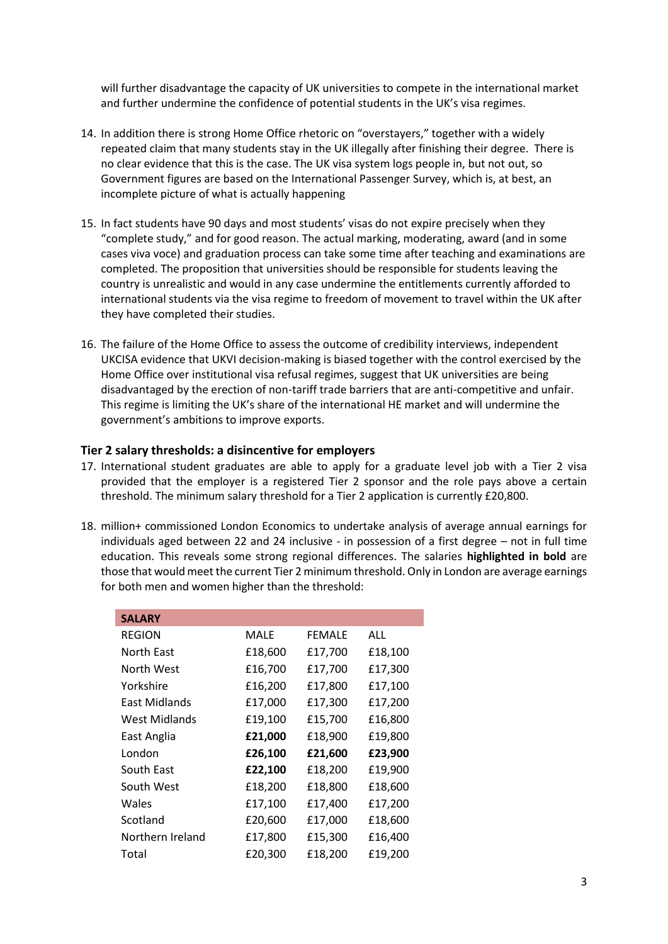will further disadvantage the capacity of UK universities to compete in the international market and further undermine the confidence of potential students in the UK's visa regimes.

- 14. In addition there is strong Home Office rhetoric on "overstayers," together with a widely repeated claim that many students stay in the UK illegally after finishing their degree. There is no clear evidence that this is the case. The UK visa system logs people in, but not out, so Government figures are based on the International Passenger Survey, which is, at best, an incomplete picture of what is actually happening
- 15. In fact students have 90 days and most students' visas do not expire precisely when they "complete study," and for good reason. The actual marking, moderating, award (and in some cases viva voce) and graduation process can take some time after teaching and examinations are completed. The proposition that universities should be responsible for students leaving the country is unrealistic and would in any case undermine the entitlements currently afforded to international students via the visa regime to freedom of movement to travel within the UK after they have completed their studies.
- 16. The failure of the Home Office to assess the outcome of credibility interviews, independent UKCISA evidence that UKVI decision-making is biased together with the control exercised by the Home Office over institutional visa refusal regimes, suggest that UK universities are being disadvantaged by the erection of non-tariff trade barriers that are anti-competitive and unfair. This regime is limiting the UK's share of the international HE market and will undermine the government's ambitions to improve exports.

#### **Tier 2 salary thresholds: a disincentive for employers**

- 17. International student graduates are able to apply for a graduate level job with a Tier 2 visa provided that the employer is a registered Tier 2 sponsor and the role pays above a certain threshold. The minimum salary threshold for a Tier 2 application is currently £20,800.
- 18. million+ commissioned London Economics to undertake analysis of average annual earnings for individuals aged between 22 and 24 inclusive - in possession of a first degree – not in full time education. This reveals some strong regional differences. The salaries **highlighted in bold** are those that would meet the current Tier 2 minimum threshold. Only in London are average earnings for both men and women higher than the threshold:

| <b>SALARY</b>    |         |               |         |
|------------------|---------|---------------|---------|
| <b>REGION</b>    | MALE    | <b>FFMALF</b> | ALL     |
| North East       | £18,600 | £17,700       | £18,100 |
| North West       | £16,700 | £17,700       | £17,300 |
| Yorkshire        | £16,200 | £17,800       | £17,100 |
| East Midlands    | £17,000 | £17,300       | £17,200 |
| West Midlands    | £19,100 | £15,700       | £16,800 |
| East Anglia      | £21,000 | £18,900       | £19,800 |
| London           | £26,100 | £21,600       | £23,900 |
| South East       | £22,100 | £18,200       | £19,900 |
| South West       | £18,200 | £18,800       | £18,600 |
| Wales            | £17,100 | £17,400       | £17,200 |
| Scotland         | £20,600 | £17,000       | £18,600 |
| Northern Ireland | £17,800 | £15,300       | £16,400 |
| Total            | £20,300 | £18,200       | £19,200 |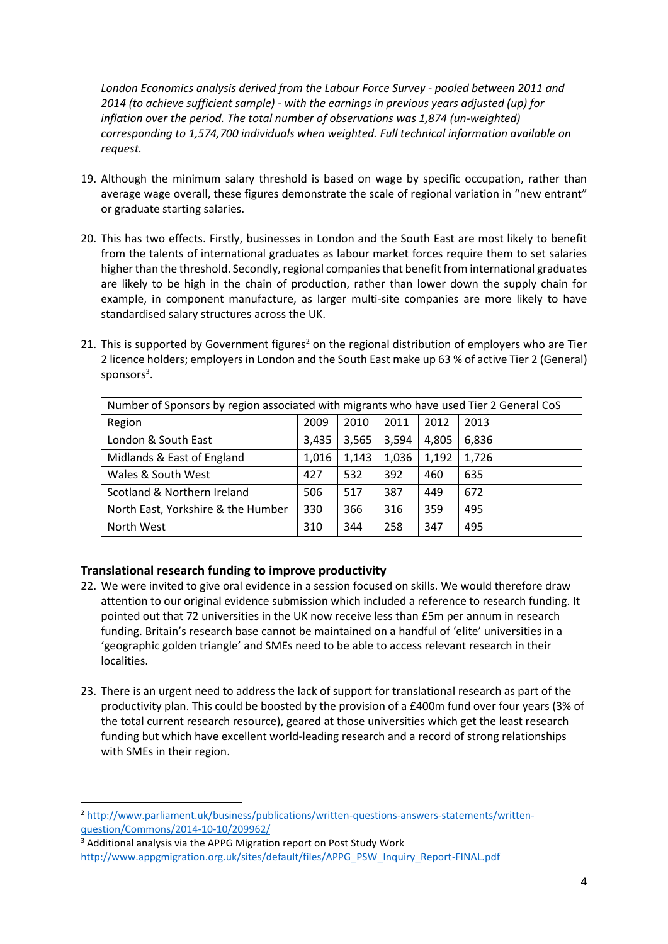*London Economics analysis derived from the Labour Force Survey - pooled between 2011 and 2014 (to achieve sufficient sample) - with the earnings in previous years adjusted (up) for*  inflation over the period. The total number of observations was 1,874 (un-weighted) *corresponding to 1,574,700 individuals when weighted. Full technical information available on request.*

- 19. Although the minimum salary threshold is based on wage by specific occupation, rather than average wage overall, these figures demonstrate the scale of regional variation in "new entrant" or graduate starting salaries.
- 20. This has two effects. Firstly, businesses in London and the South East are most likely to benefit from the talents of international graduates as labour market forces require them to set salaries higher than the threshold. Secondly, regional companies that benefit from international graduates are likely to be high in the chain of production, rather than lower down the supply chain for example, in component manufacture, as larger multi-site companies are more likely to have standardised salary structures across the UK.
- 21. This is supported by Government figures<sup>2</sup> on the regional distribution of employers who are Tier 2 licence holders; employers in London and the South East make up 63 % of active Tier 2 (General) sponsors<sup>3</sup>.

| Number of Sponsors by region associated with migrants who have used Tier 2 General CoS |       |       |       |       |       |  |
|----------------------------------------------------------------------------------------|-------|-------|-------|-------|-------|--|
| Region                                                                                 | 2009  | 2010  | 2011  | 2012  | 2013  |  |
| London & South East                                                                    | 3,435 | 3,565 | 3,594 | 4,805 | 6,836 |  |
| Midlands & East of England                                                             | 1,016 | 1,143 | 1,036 | 1,192 | 1,726 |  |
| Wales & South West                                                                     | 427   | 532   | 392   | 460   | 635   |  |
| Scotland & Northern Ireland                                                            | 506   | 517   | 387   | 449   | 672   |  |
| North East, Yorkshire & the Humber                                                     | 330   | 366   | 316   | 359   | 495   |  |
| North West                                                                             | 310   | 344   | 258   | 347   | 495   |  |

## **Translational research funding to improve productivity**

**.** 

- 22. We were invited to give oral evidence in a session focused on skills. We would therefore draw attention to our original evidence submission which included a reference to research funding. It pointed out that 72 universities in the UK now receive less than £5m per annum in research funding. Britain's research base cannot be maintained on a handful of 'elite' universities in a 'geographic golden triangle' and SMEs need to be able to access relevant research in their localities.
- 23. There is an urgent need to address the lack of support for translational research as part of the productivity plan. This could be boosted by the provision of a £400m fund over four years (3% of the total current research resource), geared at those universities which get the least research funding but which have excellent world-leading research and a record of strong relationships with SMEs in their region.

<sup>2</sup> [http://www.parliament.uk/business/publications/written-questions-answers-statements/written](http://www.parliament.uk/business/publications/written-questions-answers-statements/written-question/Commons/2014-10-10/209962/)[question/Commons/2014-10-10/209962/](http://www.parliament.uk/business/publications/written-questions-answers-statements/written-question/Commons/2014-10-10/209962/)

<sup>&</sup>lt;sup>3</sup> Additional analysis via the APPG Migration report on Post Study Work [http://www.appgmigration.org.uk/sites/default/files/APPG\\_PSW\\_Inquiry\\_Report-FINAL.pdf](http://www.appgmigration.org.uk/sites/default/files/APPG_PSW_Inquiry_Report-FINAL.pdf)